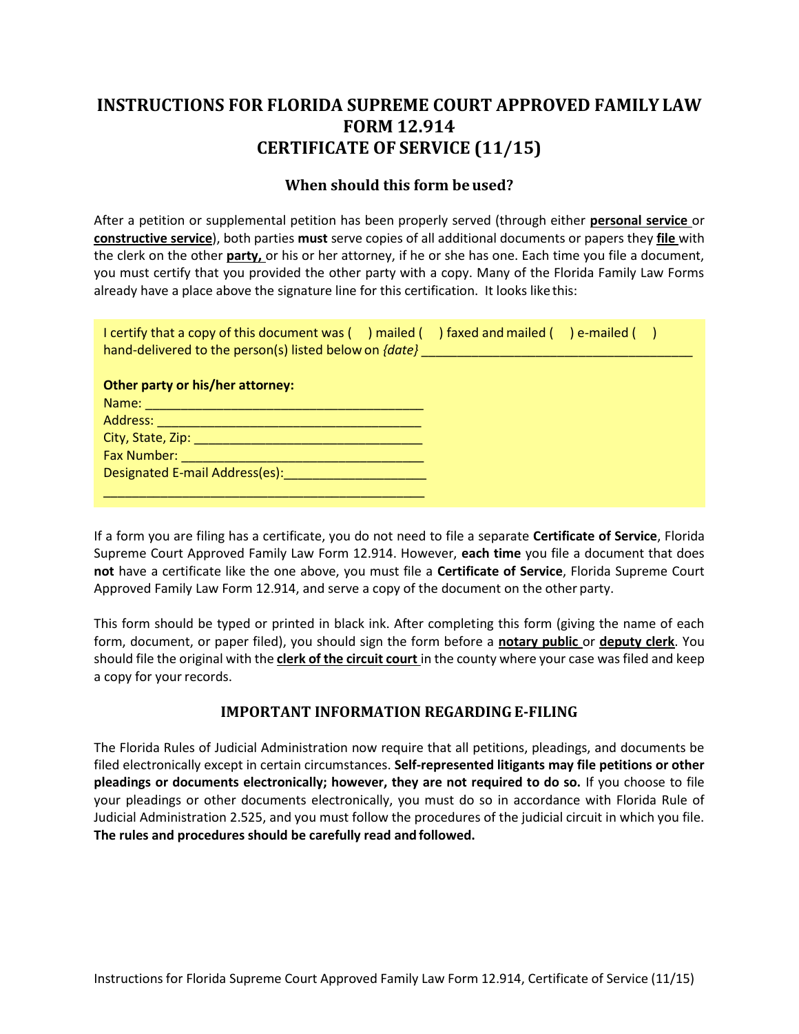# **INSTRUCTIONS FOR FLORIDA SUPREME COURT APPROVED FAMILY LAW FORM 12.914 CERTIFICATE OF SERVICE (11/15)**

# **When should this form be used?**

 After a petition or supplemental petition has been properly served (through either **personal service** or you must certify that you provided the other party with a copy. Many of the Florida Family Law Forms already have a place above the signature line for this certification. It looks like this: **constructive service**), both parties **must** serve copies of all additional documents or papers they **file** with the clerk on the other **party,** or his or her attorney, if he or she has one. Each time you file a document,

| I certify that a copy of this document was () mailed () faxed and mailed () e-mailed ()<br>hand-delivered to the person(s) listed below on <i>{date}</i> and the same control of the state of the state of the state of the state of the state of the state of the state of the state of the state of the state of the state o |  |  |
|--------------------------------------------------------------------------------------------------------------------------------------------------------------------------------------------------------------------------------------------------------------------------------------------------------------------------------|--|--|
| Other party or his/her attorney:                                                                                                                                                                                                                                                                                               |  |  |
| Name: Name and the state of the state of the state of the state of the state of the state of the state of the                                                                                                                                                                                                                  |  |  |
| Address: New York Products and Parties and Parties and Parties and Parties and Parties and Parties and Parties                                                                                                                                                                                                                 |  |  |
|                                                                                                                                                                                                                                                                                                                                |  |  |
| <b>Fax Number:</b> The Contract of the Contract of the Contract of the Contract of the Contract of the Contract of the Contract of the Contract of the Contract of the Contract of the Contract of the Contract of the Contract of                                                                                             |  |  |
| Designated E-mail Address(es):                                                                                                                                                                                                                                                                                                 |  |  |
|                                                                                                                                                                                                                                                                                                                                |  |  |
|                                                                                                                                                                                                                                                                                                                                |  |  |

 If a form you are filing has a certificate, you do not need to file a separate **Certificate of Service**, Florida Supreme Court Approved Family Law Form 12.914. However, **each time** you file a document that does **not** have a certificate like the one above, you must file a **Certificate of Service**, Florida Supreme Court Approved Family Law Form 12.914, and serve a copy of the document on the other party.

 This form should be typed or printed in black ink. After completing this form (giving the name of each form, document, or paper filed), you should sign the form before a **notary public** or **deputy clerk**. You should file the original with the **clerk of the circuit court** in the county where your case was filed and keep a copy for your records.

# **IMPORTANT INFORMATION REGARDING E-FILING**

 The Florida Rules of Judicial Administration now require that all petitions, pleadings, and documents be  **pleadings or documents electronically; however, they are not required to do so.** If you choose to file your pleadings or other documents electronically, you must do so in accordance with Florida Rule of Judicial Administration 2.525, and you must follow the procedures of the judicial circuit in which you file.  **The rules and procedures should be carefully read and followed.**  filed electronically except in certain circumstances. **Self-represented litigants may file petitions or other**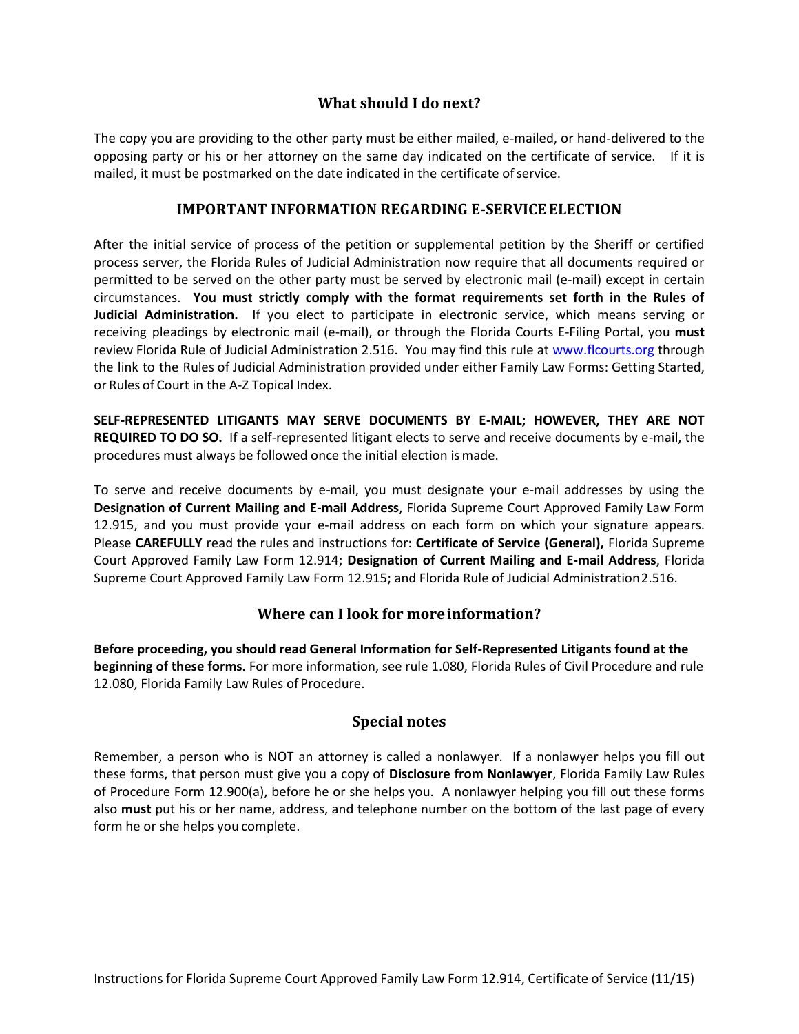# **What should I do next?**

 The copy you are providing to the other party must be either mailed, e-mailed, or hand-delivered to the opposing party or his or her attorney on the same day indicated on the certificate of service. If it is mailed, it must be postmarked on the date indicated in the certificate of service.

#### **IMPORTANT INFORMATION REGARDING E-SERVICE ELECTION**

 After the initial service of process of the petition or supplemental petition by the Sheriff or certified process server, the Florida Rules of Judicial Administration now require that all documents required or permitted to be served on the other party must be served by electronic mail (e-mail) except in certain  circumstances. **You must strictly comply with the format requirements set forth in the Rules of Judicial Administration.** If you elect to participate in electronic service, which means serving or receiving pleadings by electronic mail (e-mail), or through the Florida Courts E-Filing Portal, you **must**  review Florida Rule of Judicial Administration 2.516. You may find this rule at www.flcourts.org through the link to the Rules of Judicial Administration provided under either Family Law Forms: Getting Started, or Rules of Court in the A-Z Topical Index.

 **SELF-REPRESENTED LITIGANTS MAY SERVE DOCUMENTS BY E-MAIL; HOWEVER, THEY ARE NOT REQUIRED TO DO SO.** If a self-represented litigant elects to serve and receive documents by e-mail, the procedures must always be followed once the initial election is made.

 To serve and receive documents by e-mail, you must designate your e-mail addresses by using the  **Designation of Current Mailing and E-mail Address**, Florida Supreme Court Approved Family Law Form 12.915, and you must provide your e-mail address on each form on which your signature appears. Court Approved Family Law Form 12.914; **Designation of Current Mailing and E-mail Address**, Florida Supreme Court Approved Family Law Form 12.915; and Florida Rule of Judicial Administration2.516. Please **CAREFULLY** read the rules and instructions for: **Certificate of Service (General),** Florida Supreme

# **Where can I look for more information?**

 12.080, Florida Family Law Rules of Procedure. **Before proceeding, you should read General Information for Self-Represented Litigants found at the beginning of these forms.** For more information, see rule 1.080, Florida Rules of Civil Procedure and rule

# **Special notes**

 Remember, a person who is NOT an attorney is called a nonlawyer. If a nonlawyer helps you fill out these forms, that person must give you a copy of **Disclosure from Nonlawyer**, Florida Family Law Rules of Procedure Form 12.900(a), before he or she helps you. A nonlawyer helping you fill out these forms also **must** put his or her name, address, and telephone number on the bottom of the last page of every form he or she helps you complete.